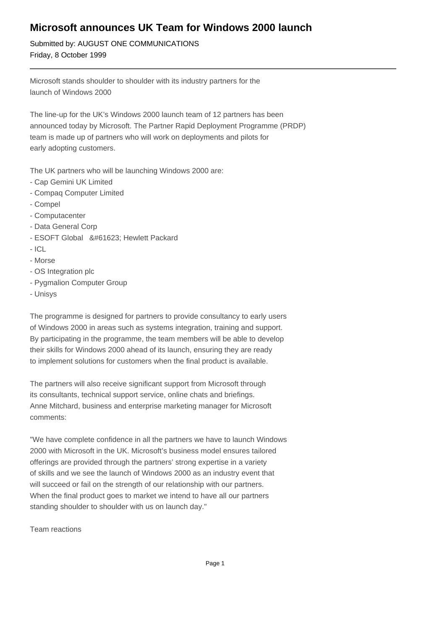# **Microsoft announces UK Team for Windows 2000 launch**

Submitted by: AUGUST ONE COMMUNICATIONS Friday, 8 October 1999

Microsoft stands shoulder to shoulder with its industry partners for the launch of Windows 2000

The line-up for the UK's Windows 2000 launch team of 12 partners has been announced today by Microsoft. The Partner Rapid Deployment Programme (PRDP) team is made up of partners who will work on deployments and pilots for early adopting customers.

The UK partners who will be launching Windows 2000 are:

- Cap Gemini UK Limited
- Compaq Computer Limited
- Compel
- Computacenter
- Data General Corp
- ESOFT Global  Hewlett Packard
- ICL
- Morse
- OS Integration plc
- Pygmalion Computer Group
- Unisys

The programme is designed for partners to provide consultancy to early users of Windows 2000 in areas such as systems integration, training and support. By participating in the programme, the team members will be able to develop their skills for Windows 2000 ahead of its launch, ensuring they are ready to implement solutions for customers when the final product is available.

The partners will also receive significant support from Microsoft through its consultants, technical support service, online chats and briefings. Anne Mitchard, business and enterprise marketing manager for Microsoft comments:

"We have complete confidence in all the partners we have to launch Windows 2000 with Microsoft in the UK. Microsoft's business model ensures tailored offerings are provided through the partners' strong expertise in a variety of skills and we see the launch of Windows 2000 as an industry event that will succeed or fail on the strength of our relationship with our partners. When the final product goes to market we intend to have all our partners standing shoulder to shoulder with us on launch day."

Team reactions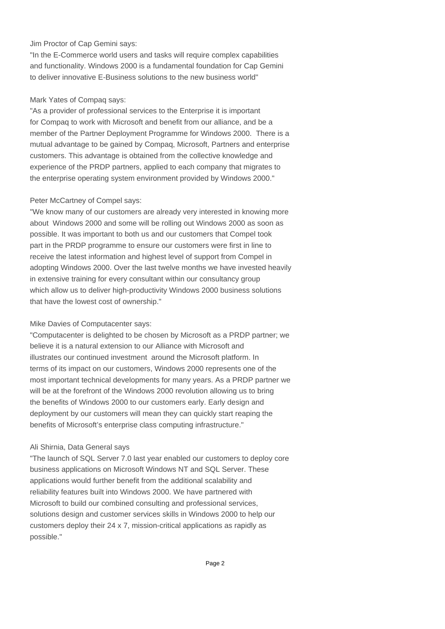### Jim Proctor of Cap Gemini says:

"In the E-Commerce world users and tasks will require complex capabilities and functionality. Windows 2000 is a fundamental foundation for Cap Gemini to deliver innovative E-Business solutions to the new business world"

### Mark Yates of Compaq says:

"As a provider of professional services to the Enterprise it is important for Compaq to work with Microsoft and benefit from our alliance, and be a member of the Partner Deployment Programme for Windows 2000. There is a mutual advantage to be gained by Compaq, Microsoft, Partners and enterprise customers. This advantage is obtained from the collective knowledge and experience of the PRDP partners, applied to each company that migrates to the enterprise operating system environment provided by Windows 2000."

#### Peter McCartney of Compel says:

"We know many of our customers are already very interested in knowing more about Windows 2000 and some will be rolling out Windows 2000 as soon as possible. It was important to both us and our customers that Compel took part in the PRDP programme to ensure our customers were first in line to receive the latest information and highest level of support from Compel in adopting Windows 2000. Over the last twelve months we have invested heavily in extensive training for every consultant within our consultancy group which allow us to deliver high-productivity Windows 2000 business solutions that have the lowest cost of ownership."

# Mike Davies of Computacenter says:

"Computacenter is delighted to be chosen by Microsoft as a PRDP partner; we believe it is a natural extension to our Alliance with Microsoft and illustrates our continued investment around the Microsoft platform. In terms of its impact on our customers, Windows 2000 represents one of the most important technical developments for many years. As a PRDP partner we will be at the forefront of the Windows 2000 revolution allowing us to bring the benefits of Windows 2000 to our customers early. Early design and deployment by our customers will mean they can quickly start reaping the benefits of Microsoft's enterprise class computing infrastructure."

# Ali Shirnia, Data General says

"The launch of SQL Server 7.0 last year enabled our customers to deploy core business applications on Microsoft Windows NT and SQL Server. These applications would further benefit from the additional scalability and reliability features built into Windows 2000. We have partnered with Microsoft to build our combined consulting and professional services, solutions design and customer services skills in Windows 2000 to help our customers deploy their 24 x 7, mission-critical applications as rapidly as possible."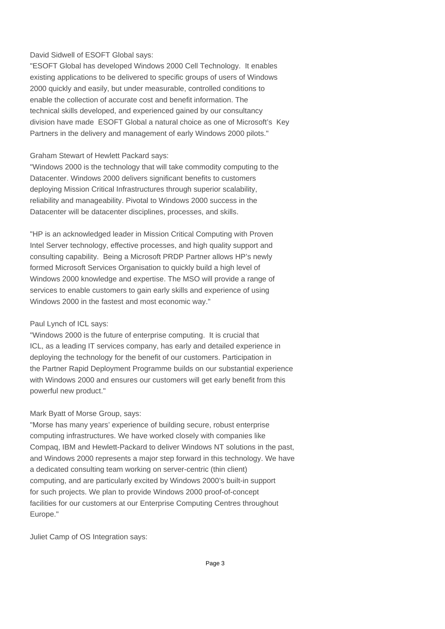# David Sidwell of ESOFT Global says:

"ESOFT Global has developed Windows 2000 Cell Technology. It enables existing applications to be delivered to specific groups of users of Windows 2000 quickly and easily, but under measurable, controlled conditions to enable the collection of accurate cost and benefit information. The technical skills developed, and experienced gained by our consultancy division have made ESOFT Global a natural choice as one of Microsoft's Key Partners in the delivery and management of early Windows 2000 pilots."

# Graham Stewart of Hewlett Packard says:

"Windows 2000 is the technology that will take commodity computing to the Datacenter. Windows 2000 delivers significant benefits to customers deploying Mission Critical Infrastructures through superior scalability, reliability and manageability. Pivotal to Windows 2000 success in the Datacenter will be datacenter disciplines, processes, and skills.

"HP is an acknowledged leader in Mission Critical Computing with Proven Intel Server technology, effective processes, and high quality support and consulting capability. Being a Microsoft PRDP Partner allows HP's newly formed Microsoft Services Organisation to quickly build a high level of Windows 2000 knowledge and expertise. The MSO will provide a range of services to enable customers to gain early skills and experience of using Windows 2000 in the fastest and most economic way."

# Paul Lynch of ICL says:

"Windows 2000 is the future of enterprise computing. It is crucial that ICL, as a leading IT services company, has early and detailed experience in deploying the technology for the benefit of our customers. Participation in the Partner Rapid Deployment Programme builds on our substantial experience with Windows 2000 and ensures our customers will get early benefit from this powerful new product."

# Mark Byatt of Morse Group, says:

"Morse has many years' experience of building secure, robust enterprise computing infrastructures. We have worked closely with companies like Compaq, IBM and Hewlett-Packard to deliver Windows NT solutions in the past, and Windows 2000 represents a major step forward in this technology. We have a dedicated consulting team working on server-centric (thin client) computing, and are particularly excited by Windows 2000's built-in support for such projects. We plan to provide Windows 2000 proof-of-concept facilities for our customers at our Enterprise Computing Centres throughout Europe."

Juliet Camp of OS Integration says: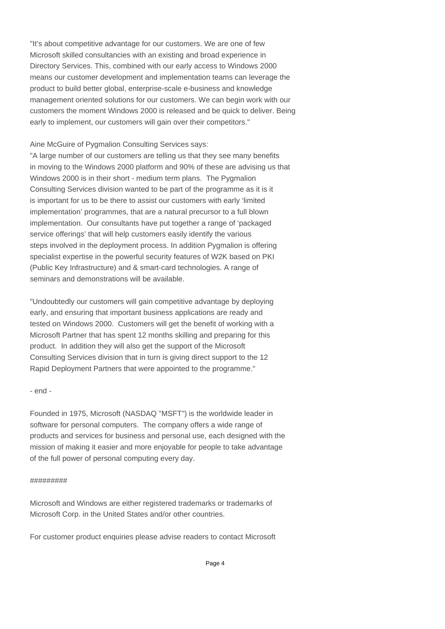"It's about competitive advantage for our customers. We are one of few Microsoft skilled consultancies with an existing and broad experience in Directory Services. This, combined with our early access to Windows 2000 means our customer development and implementation teams can leverage the product to build better global, enterprise-scale e-business and knowledge management oriented solutions for our customers. We can begin work with our customers the moment Windows 2000 is released and be quick to deliver. Being early to implement, our customers will gain over their competitors."

# Aine McGuire of Pygmalion Consulting Services says:

"A large number of our customers are telling us that they see many benefits in moving to the Windows 2000 platform and 90% of these are advising us that Windows 2000 is in their short - medium term plans. The Pygmalion Consulting Services division wanted to be part of the programme as it is it is important for us to be there to assist our customers with early 'limited implementation' programmes, that are a natural precursor to a full blown implementation. Our consultants have put together a range of 'packaged service offerings' that will help customers easily identify the various steps involved in the deployment process. In addition Pygmalion is offering specialist expertise in the powerful security features of W2K based on PKI (Public Key Infrastructure) and & smart-card technologies. A range of seminars and demonstrations will be available.

"Undoubtedly our customers will gain competitive advantage by deploying early, and ensuring that important business applications are ready and tested on Windows 2000. Customers will get the benefit of working with a Microsoft Partner that has spent 12 months skilling and preparing for this product. In addition they will also get the support of the Microsoft Consulting Services division that in turn is giving direct support to the 12 Rapid Deployment Partners that were appointed to the programme."

# - end -

Founded in 1975, Microsoft (NASDAQ "MSFT") is the worldwide leader in software for personal computers. The company offers a wide range of products and services for business and personal use, each designed with the mission of making it easier and more enjoyable for people to take advantage of the full power of personal computing every day.

#### #########

Microsoft and Windows are either registered trademarks or trademarks of Microsoft Corp. in the United States and/or other countries.

For customer product enquiries please advise readers to contact Microsoft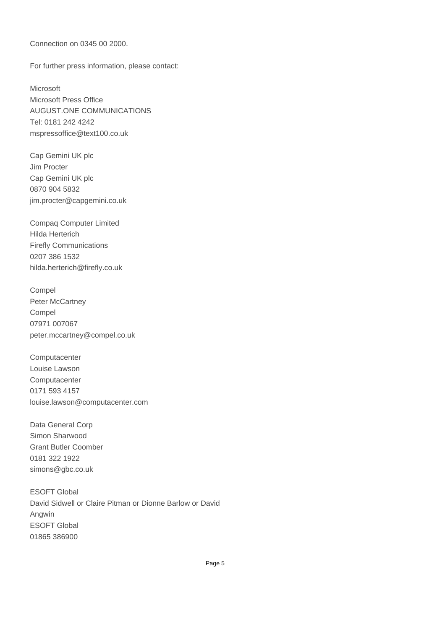Connection on 0345 00 2000.

For further press information, please contact:

Microsoft Microsoft Press Office AUGUST.ONE COMMUNICATIONS Tel: 0181 242 4242 mspressoffice@text100.co.uk

Cap Gemini UK plc Jim Procter Cap Gemini UK plc 0870 904 5832 jim.procter@capgemini.co.uk

Compaq Computer Limited Hilda Herterich Firefly Communications 0207 386 1532 hilda.herterich@firefly.co.uk

Compel Peter McCartney Compel 07971 007067 peter.mccartney@compel.co.uk

**Computacenter** Louise Lawson **Computacenter** 0171 593 4157 louise.lawson@computacenter.com

Data General Corp Simon Sharwood Grant Butler Coomber 0181 322 1922 simons@gbc.co.uk

ESOFT Global David Sidwell or Claire Pitman or Dionne Barlow or David Angwin ESOFT Global 01865 386900